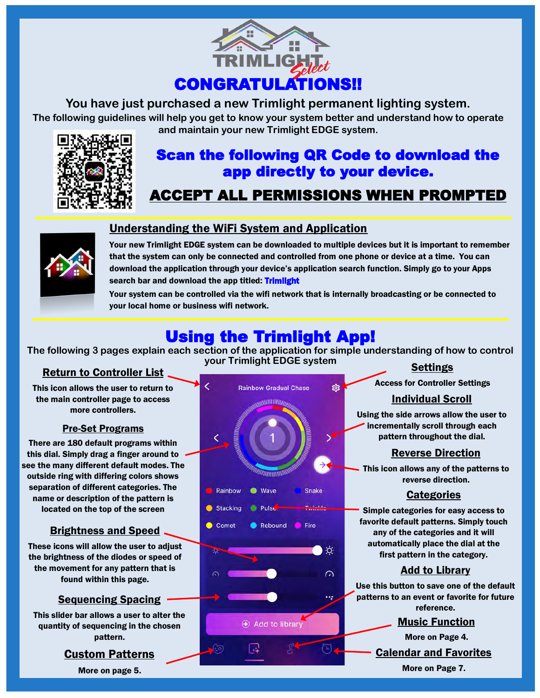

**You have just purchased a new Trimlight permanent lighting system.** 

**The following guidelines will help you get to know your system better and understand how to operate and maintain your new Trimlight EDGE system.**



# Scan the following QR Code to download the app directly to your device.

# ACCEPT ALL PERMISSIONS WHEN PROMPTED



# Understanding the WiFi System and Application

Your new Trimlight EDGE system can be downloaded to multiple devices but it is important to remember that the system can only be connected and controlled from one phone or device at a time. You can download the application through your device's application search function. Simply go to your Apps search bar and download the app titled: Trimlight

Your system can be controlled via the wifi network that is internally broadcasting or be connected to your local home or business wifi network.

# Using the Trimlight App!

**The following 3 pages explain each section of the application for simple understanding of how to control your Trimlight EDGE system** 

### Return to Controller List

This icon allows the user to return to the main controller page to access more controllers.

### Pre-Set Programs

There are 180 default programs within this dial. Simply drag a finger around to see the many different default modes. The outside ring with differing colors shows separation of different categories. The name or description of the pattern is located on the top of the screen

# **Brightness and Speed.**

These icons will allow the user to adjust the brightness of the diodes or speed of the movement for any pattern that is found within this page.

# Sequencing Spacing

This slider bar allows a user to alter the quantity of sequencing in the chosen pattern.

# Custom Patterns

More on page 5.



# **Settings**

Access for Controller Settings

# Individual Scroll

Using the side arrows allow the user to incrementally scroll through each pattern throughout the dial.

#### Reverse Direction

This icon allows any of the patterns to reverse direction.

### **Categories**

Simple categories for easy access to favorite default patterns. Simply touch any of the categories and it will automatically place the dial at the first pattern in the category.

### Add to Library

Use this button to save one of the default patterns to an event or favorite for future reference.

#### Music Function

Calendar and Favorites More on Page 7. More on Page 4.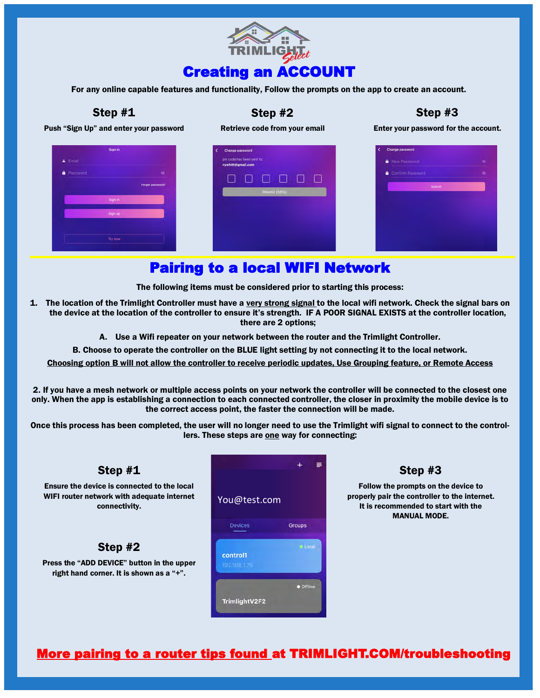

For any online capable features and functionality, Follow the prompts on the app to create an account.

#### Step #1

#### Step #2

Step #3

Push "Sign Up" and enter your password





hitt@amail.com

Enter your password for the account.

| Change password<br><  |           |
|-----------------------|-----------|
| <b>A</b> New Password | XX.       |
| Confirm Password      | $\bullet$ |
| Submit                |           |
|                       |           |
|                       |           |
|                       |           |
|                       |           |
|                       |           |
|                       |           |

# Pairing to a local WIFI Network

The following items must be considered prior to starting this process:

- 1. The location of the Trimlight Controller must have a very strong signal to the local wifi network. Check the signal bars on the device at the location of the controller to ensure it's strength. IF A POOR SIGNAL EXISTS at the controller location, there are 2 options;
	- A. Use a Wifi repeater on your network between the router and the Trimlight Controller.
	- B. Choose to operate the controller on the BLUE light setting by not connecting it to the local network.

Choosing option B will not allow the controller to receive periodic updates, Use Grouping feature, or Remote Access

2. If you have a mesh network or multiple access points on your network the controller will be connected to the closest one only. When the app is establishing a connection to each connected controller, the closer in proximity the mobile device is to the correct access point, the faster the connection will be made.

Once this process has been completed, the user will no longer need to use the Trimlight wifi signal to connect to the controllers. These steps are one way for connecting:



Step #3

Follow the prompts on the device to properly pair the controller to the internet. It is recommended to start with the MANUAL MODE.

# More pairing to a router tips found at TRIMLIGHT.COM/troubleshooting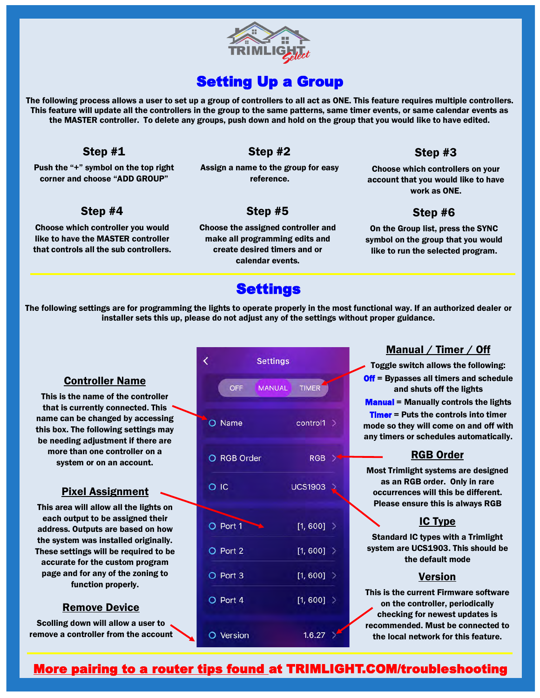

# **Setting Up a Group**

The following process allows a user to set up a group of controllers to all act as ONE. This feature requires multiple controllers. This feature will update all the controllers in the group to the same patterns, same timer events, or same calendar events as the MASTER controller. To delete any groups, push down and hold on the group that you would like to have edited.

#### Step #1

Push the "+" symbol on the top right corner and choose "ADD GROUP"

### Step #2

Assign a name to the group for easy reference.

### Step #4

Choose which controller you would like to have the MASTER controller that controls all the sub controllers.

# Step #5

Choose the assigned controller and make all programming edits and create desired timers and or calendar events.

# Step #3

Choose which controllers on your account that you would like to have work as ONE.

# Step #6

On the Group list, press the SYNC symbol on the group that you would like to run the selected program.

# **Settings**

The following settings are for programming the lights to operate properly in the most functional way. If an authorized dealer or installer sets this up, please do not adjust any of the settings without proper guidance.

#### Controller Name

This is the name of the controller that is currently connected. This name can be changed by accessing this box. The following settings may be needing adjustment if there are more than one controller on a system or on an account.

#### Pixel Assignment

This area will allow all the lights on each output to be assigned their address. Outputs are based on how the system was installed originally. These settings will be required to be accurate for the custom program page and for any of the zoning to function properly.

#### Remove Device

Scolling down will allow a user to remove a controller from the account

|        | <b>Settings</b>   |              |                |  |
|--------|-------------------|--------------|----------------|--|
|        | OFF               | MANUAL TIMER |                |  |
|        | O Name            |              | control1 >     |  |
|        | O RGB Order       |              | <b>RGB</b>     |  |
| $O$ IC |                   |              | <b>UCS1903</b> |  |
|        | O Port 1          |              | $[1, 600]$ >   |  |
|        | O Port 2          |              | [1, 600] >     |  |
|        | O Port 3          |              | [1, 600] >     |  |
|        | O Port 4          |              | [1, 600] >     |  |
|        | $\bigcap$ Varejon |              | 16.27          |  |

#### Manual / Timer / Off

Toggle switch allows the following:

**Off** = Bypasses all timers and schedule and shuts off the lights

Manual = Manually controls the lights

**Timer** = Puts the controls into timer mode so they will come on and off with any timers or schedules automatically.

#### RGB Order

Most Trimlight systems are designed as an RGB order. Only in rare occurrences will this be different. Please ensure this is always RGB

#### IC Type

Standard IC types with a Trimlight system are UCS1903. This should be the default mode

#### Version

This is the current Firmware software on the controller, periodically checking for newest updates is recommended. Must be connected to the local network for this feature.

# More pairing to a router tips found at TRIMLIGHT.COM/troubleshooting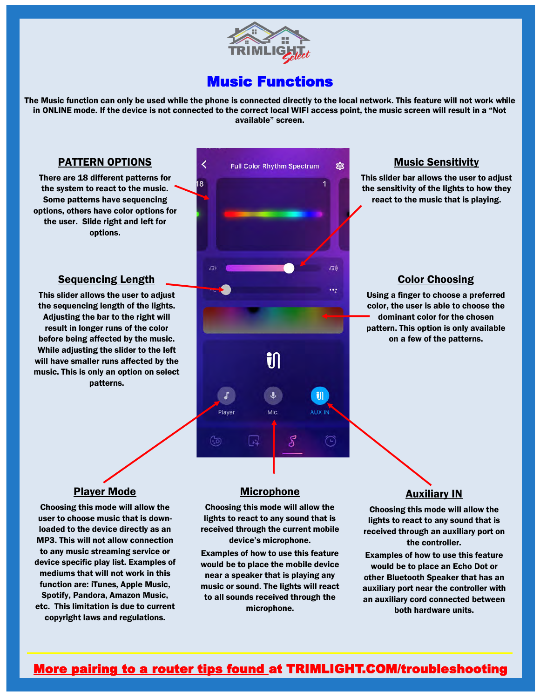

# Music Functions

The Music function can only be used while the phone is connected directly to the local network. This feature will not work while in ONLINE mode. If the device is not connected to the correct local WIFI access point, the music screen will result in a "Not available" screen.

#### PATTERN OPTIONS

There are 18 different patterns for the system to react to the music. Some patterns have sequencing options, others have color options for the user. Slide right and left for options.

#### Sequencing Length

This slider allows the user to adjust the sequencing length of the lights. Adjusting the bar to the right will result in longer runs of the color before being affected by the music. While adjusting the slider to the left will have smaller runs affected by the music. This is only an option on select patterns.



#### Music Sensitivity

This slider bar allows the user to adjust the sensitivity of the lights to how they react to the music that is playing.

#### Color Choosing

Using a finger to choose a preferred color, the user is able to choose the dominant color for the chosen pattern. This option is only available on a few of the patterns.

#### Player Mode

Choosing this mode will allow the user to choose music that is downloaded to the device directly as an MP3. This will not allow connection to any music streaming service or device specific play list. Examples of mediums that will not work in this function are: iTunes, Apple Music, Spotify, Pandora, Amazon Music, etc. This limitation is due to current copyright laws and regulations.

#### **Microphone**

Choosing this mode will allow the lights to react to any sound that is received through the current mobile device's microphone.

Examples of how to use this feature would be to place the mobile device near a speaker that is playing any music or sound. The lights will react to all sounds received through the microphone.

# **Auxiliary IN**

Choosing this mode will allow the lights to react to any sound that is received through an auxiliary port on the controller.

Examples of how to use this feature would be to place an Echo Dot or other Bluetooth Speaker that has an auxiliary port near the controller with an auxiliary cord connected between both hardware units.

# More pairing to a router tips found at TRIMLIGHT.COM/troubleshooting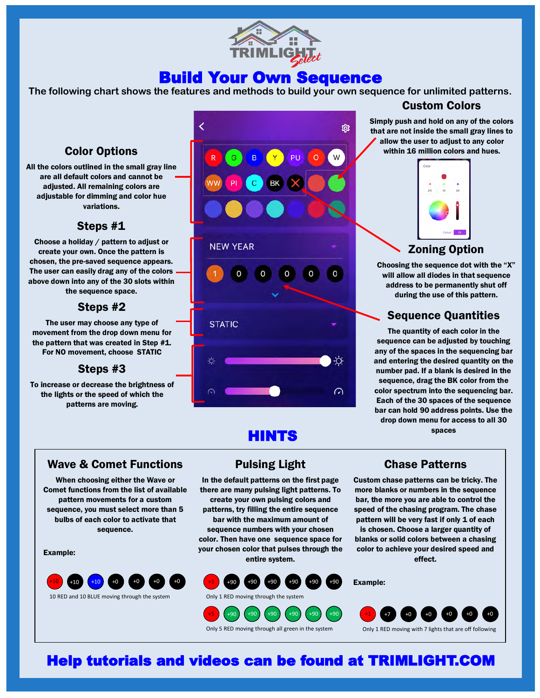

# Build Your Own Sequence

**The following chart shows the features and methods to build your own sequence for unlimited patterns.** 

# Color Options

All the colors outlined in the small gray line are all default colors and cannot be adiusted. All remaining colors are adjustable for dimming and color hue variations.

### Steps #1

Choose a holiday / pattern to adjust or create your own. Once the pattern is chosen, the pre-saved sequence appears. The user can easily drag any of the colors above down into any of the 30 slots within the sequence space.

### Steps #2

The user may choose any type of movement from the drop down menu for the pattern that was created in Step #1. For NO movement, choose STATIC

### Steps #3

To increase or decrease the brightness of the lights or the speed of which the patterns are moving.



# HINTS

Pulsing Light In the default patterns on the first page there are many pulsing light patterns. To create your own pulsing colors and patterns, try filling the entire sequence bar with the maximum amount of sequence numbers with your chosen color. Then have one sequence space for your chosen color that pulses through the

#### Wave & Comet Functions

When choosing either the Wave or Comet functions from the list of available pattern movements for a custom sequence, you must select more than 5 bulbs of each color to activate that sequence.

Example:



entire system.





Custom Colors Simply push and hold on any of the colors that are not inside the small gray lines to allow the user to adjust to any color within 16 million colors and hues.

# Zoning Option

Choosing the sequence dot with the "X" will allow all diodes in that sequence address to be permanently shut off during the use of this pattern.

### Sequence Quantities

The quantity of each color in the sequence can be adjusted by touching any of the spaces in the sequencing bar and entering the desired quantity on the number pad. If a blank is desired in the sequence, drag the BK color from the color spectrum into the sequencing bar. Each of the 30 spaces of the sequence bar can hold 90 address points. Use the drop down menu for access to all 30 spaces

Chase Patterns

Custom chase patterns can be tricky. The more blanks or numbers in the sequence bar, the more you are able to control the speed of the chasing program. The chase pattern will be very fast if only 1 of each is chosen. Choose a larger quantity of blanks or solid colors between a chasing color to achieve your desired speed and effect.

Example:



Only 5 RED moving through all green in the system

+90 +90 +90 +90 +90

Help tutorials and videos can be found at TRIMLIGHT.COM

+5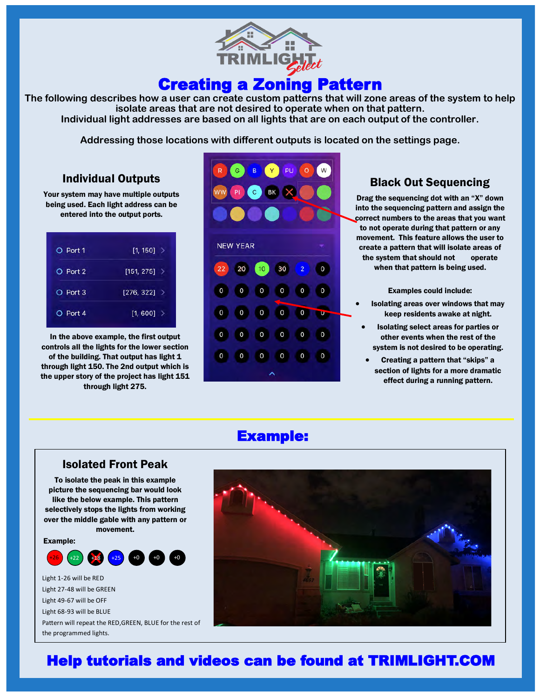

# Creating a Zoning Pattern

**The following describes how a user can create custom patterns that will zone areas of the system to help isolate areas that are not desired to operate when on that pattern. Individual light addresses are based on all lights that are on each output of the controller.** 

**Addressing those locations with different outputs is located on the settings page.** 

### Individual Outputs

Your system may have multiple outputs being used. Each light address can be entered into the output ports.

| O Port 1 | $[1, 150]$ >   |  |
|----------|----------------|--|
| O Port 2 | $[151, 275]$ > |  |
| O Port 3 | $[276, 322]$ > |  |
| O Port 4 | $[1, 600]$ >   |  |

In the above example, the first output controls all the lights for the lower section of the building. That output has light 1 through light 150. The 2nd output which is the upper story of the project has light 151 through light 275.



# Black Out Sequencing

Drag the sequencing dot with an "X" down into the sequencing pattern and assign the correct numbers to the areas that you want to not operate during that pattern or any movement. This feature allows the user to create a pattern that will isolate areas of the system that should not operate when that pattern is being used.

Examples could include:

- Isolating areas over windows that may keep residents awake at night.
- Isolating select areas for parties or other events when the rest of the system is not desired to be operating.
- Creating a pattern that "skips" a section of lights for a more dramatic effect during a running pattern.

# Example:

#### Isolated Front Peak To isolate the peak in this example picture the sequencing bar would look like the below example. This pattern selectively stops the lights from working over the middle gable with any pattern or

Example:



movement.

Light 1-26 will be RED Light 27-48 will be GREEN Light 49-67 will be OFF Light 68-93 will be BLUE Pattern will repeat the RED,GREEN, BLUE for the rest of the programmed lights.



# Help tutorials and videos can be found at TRIMLIGHT.COM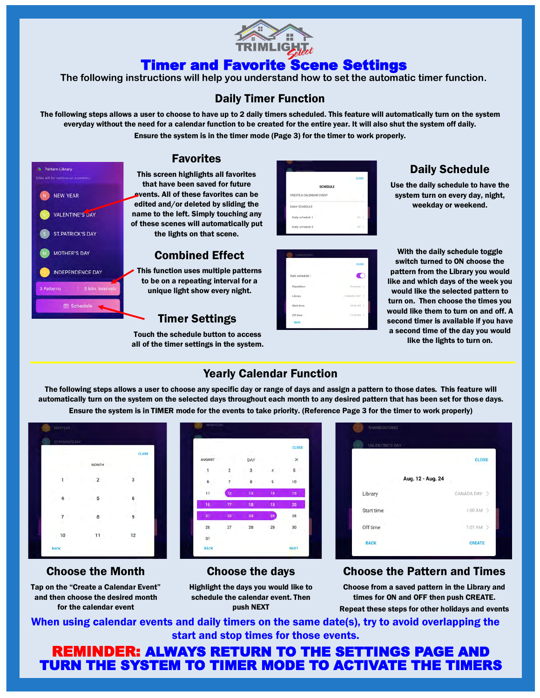

# Timer and Favorite Scene Settings

**The following instructions will help you understand how to set the automatic timer function.**

# Daily Timer Function

The following steps allows a user to choose to have up to 2 daily timers scheduled. This feature will automatically turn on the system everyday without the need for a calendar function to be created for the entire year. It will also shut the system off daily. Ensure the system is in the timer mode (Page 3) for the timer to work properly.



# **Favorites**

This screen highlights all favorites that have been saved for future events. All of these favorites can be edited and/or deleted by sliding the name to the left. Simply touching any of these scenes will automatically put the lights on that scene.

# Combined Effect

This function uses multiple patterns to be on a repeating interval for a unique light show every night.

# Timer Settings

Touch the schedule button to access all of the timer settings in the system.



# Daily Schedule

Use the daily schedule to have the system turn on every day, night, weekday or weekend.

|                  | <b>CLOSE</b>    |
|------------------|-----------------|
| Daily schedule 1 |                 |
| Repetition       | Everpiny 2      |
| Library          | CANADA DAY<br>3 |
| Start time       | 1000 AM 3       |
| Off time         | <b>HODPN</b> >  |
| <b>BACK</b>      |                 |

With the daily schedule toggle switch turned to ON choose the pattern from the Library you would like and which days of the week you would like the selected pattern to turn on. Then choose the times you would like them to turn on and off. A second timer is available if you have a second time of the day you would like the lights to turn on.

# Yearly Calendar Function

The following steps allows a user to choose any specific day or range of days and assign a pattern to those dates. This feature will automatically turn on the system on the selected days throughout each month to any desired pattern that has been set for those days. Ensure the system is in TIMER mode for the events to take priority. (Reference Page 3 for the timer to work properly)



### Choose the Month

Tap on the "Create a Calendar Event" and then choose the desired month for the calendar event

|               |        |                         |    | CLOSE      |
|---------------|--------|-------------------------|----|------------|
| <b>AUGUST</b> |        | DAY<br>Ŧ                |    | ×          |
| 1             | 2      | 3                       | 4  | 5          |
| 6             | 7      | $\overline{\mathbf{8}}$ | 9  | 10         |
| 11            | 12     | 13                      | 14 | 15         |
| 16            | 17     | 18                      | 19 | ${\bf 20}$ |
| 21            | 22     | 23                      | 24 | 25         |
| 26            | $27\,$ | 28                      | 29 | 30         |
| 31            |        |                         |    |            |
| <b>BACK</b>   |        |                         |    | NEXT       |

### Choose the days

Highlight the days you would like to schedule the calendar event. Then push NEXT



### Choose the Pattern and Times

Choose from a saved pattern in the Library and times for ON and OFF then push CREATE. Repeat these steps for other holidays and events

When using calendar events and daily timers on the same date(s), try to avoid overlapping the start and stop times for those events.

REMINDER: ALWAYS RETURN TO THE SETTINGS PAGE AND TURN THE SYSTEM TO TIMER MODE TO ACTIVATE THE TIMERS